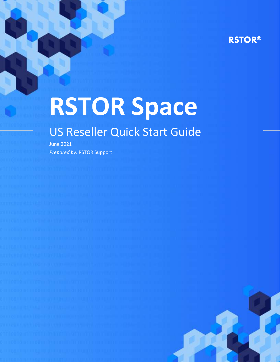# **RSTOR®**

# **RSTOR Space**

# US Reseller Quick Start Guide

June 2021 *Prepared by:* RSTOR Support

rstor.io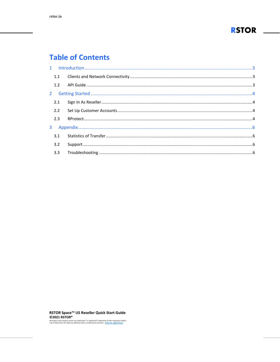

# **Table of Contents**

| 1.1 |                                                                                                                                                                                                                                 |  |
|-----|---------------------------------------------------------------------------------------------------------------------------------------------------------------------------------------------------------------------------------|--|
|     |                                                                                                                                                                                                                                 |  |
|     |                                                                                                                                                                                                                                 |  |
|     |                                                                                                                                                                                                                                 |  |
| 2.2 |                                                                                                                                                                                                                                 |  |
| 2.3 | م بالمستندر المستندر المستندر المستندر المستندر المستندر المستندر المستندر المستندر المستندر المستندر المستندر<br>14. يستندر المستندر المستندر المستندر المستندر المستندر المستندر المستندر المستندر المستندر المستندر المستندر |  |
|     |                                                                                                                                                                                                                                 |  |
|     |                                                                                                                                                                                                                                 |  |
| 3.2 |                                                                                                                                                                                                                                 |  |
|     |                                                                                                                                                                                                                                 |  |

RSTOR Space™ US Reseller Quick Start Guide ©2021 RSTOR®

All product and company names are trademarks" or registered<sup>®</sup> trademarks of their respective holders.<br>Use of them does not imply any affiliation with or endorsement by them. <u>R-Stor Inc. Legal Privacy</u>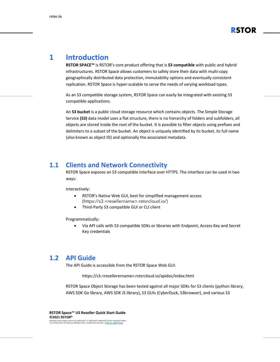

# <span id="page-2-0"></span>**1 Introduction**

**RSTOR SPACE™** is RSTOR's core product offering that is **S3 compatible** with public and hybrid infrastructures. RSTOR Space allows customers to safely store their data with multi-copy geographically distributed data protection, immutability options and eventually consistent replication. RSTOR Space is hyper-scalable to serve the needs of varying workload types.

As an S3 compatible storage system, RSTOR Space can easily be integrated with existing S3 compatible applications.

An **S3 bucket** is a public cloud storage resource which contains objects. The Simple Storage Service **(S3)** data model uses a flat structure, there is no hierarchy of folders and subfolders, all objects are stored inside the root of the bucket. It is possible to filter objects using prefixes and delimiters to a subset of the bucket. An object is uniquely identified by its bucket, its full name (also known as object ID) and optionally the associated metadata.

#### <span id="page-2-1"></span>**1.1 Clients and Network Connectivity**

RSTOR Space exposes an S3 compatible interface over HTTPS. The interface can be used in two ways:

Interactively:

- RSTOR's Native Web GUI, best for simplified management access (https://s3.<resellername>.rstorcloud.io/)
- Third-Party S3 compatible GUI or CLI client

Programmatically:

• Via API calls with S3 compatible SDKs or libraries with Endpoint, Access Key and Secret Key credentials

#### <span id="page-2-2"></span>**1.2 API Guide**

The API Guide is accessible from the RSTOR Space Web GUI:

https://s3.<resellerername>.rstorcloud.io/apidoc/index.html

RSTOR Space Object Storage has been tested against all major SDKs for S3 clients (python library, AWS SDK Go library, AWS SDK JS library), S3 GUIs (CyberDuck, S3browser), and various S3

**RSTOR Space™ US Reseller Quick Start Guide ©2021 RSTOR®** All product and company names are trademarks™ or registered® trademarks of their respective holders. Use of them does not imply any affiliation with or endorsement by them. **[R-Stor Inc. Legal Privacy](https://www.rstor.io/legal-privacy/)**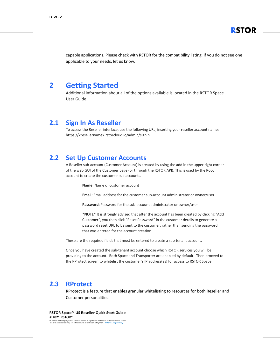

capable applications. Please check with RSTOR for the compatibility listing, if you do not see one applicable to your needs, let us know.

#### <span id="page-3-0"></span>**2 Getting Started**

Additional information about all of the options available is located in the RSTOR Space User Guide.

#### <span id="page-3-1"></span>**2.1 Sign In As Reseller**

To access the Reseller interface, use the following URL, inserting your reseller account name: https://<resellername>.rstorcloud.io/admin/signin.

#### <span id="page-3-2"></span>**2.2 Set Up Customer Accounts**

A Reseller sub-account (Customer Account) is created by using the add in the upper right corner of the web GUI of the Customer page (or through the RSTOR API). This is used by the Root account to create the customer sub accounts.

**Name**: Name of customer account

**Emai**l: Email address for the customer sub-account administrator or owner/user

**Password**: Password for the sub-account administrator or owner/user

**\*NOTE\*** It is strongly advised that after the account has been created by clicking "Add Customer", you then click "Reset Password" in the customer details to generate a password reset URL to be sent to the customer, rather than sending the password that was entered for the account creation.

These are the required fields that must be entered to create a sub-tenant account.

Once you have created the sub-tenant account choose which RSTOR services you will be providing to the account. Both Space and Transporter are enabled by default. Then proceed to the RProtect screen to whitelist the customer's IP address(es) for access to RSTOR Space.

#### <span id="page-3-3"></span>**2.3 RProtect**

RProtect is a feature that enables granular whitelisting to resources for both Reseller and Customer personalities.

**RSTOR Space™ US Reseller Quick Start Guide ©2021 RSTOR®**

All product and company names are trademarks™ or registered® trademarks of their respective holders. Use of them does not imply any affiliation with or endorsement by them. **[R-Stor Inc. Legal Privacy](https://www.rstor.io/legal-privacy/)**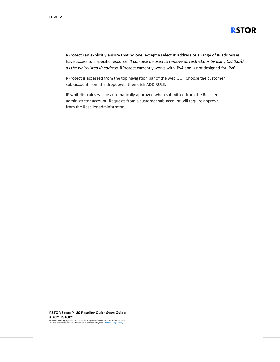

RProtect can explicitly ensure that no one, except a select IP address or a range of IP addresses have access to a specific resource. *It can also be used to remove all restrictions by using 0.0.0.0/0 as the whitelisted IP address.* RProtect currently works with IPv4 and is not designed for IPv6.

RProtect is accessed from the top navigation bar of the web GUI. Choose the customer sub-account from the dropdown, then click ADD RULE.

IP whitelist rules will be automatically approved when submitted from the Reseller administrator account. Requests from a customer sub-account will require approval from the Reseller administrator.

**RSTOR Space™ US Reseller Quick Start Guide ©2021 RSTOR®**

All product and company names are trademarks™ or registered® trademarks of their respective holders. Use of them does not imply any affiliation with or endorsement by them. **[R-Stor Inc. Legal Privacy](https://www.rstor.io/legal-privacy/)**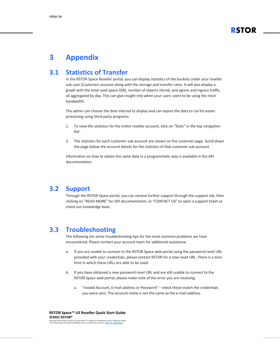

# <span id="page-5-0"></span>**3 Appendix**

### <span id="page-5-1"></span>**3.1 Statistics of Transfer**

In the RSTOR Space Reseller portal, you can display statistics of the buckets under your reseller sub-user (Customer) account along with the storage and transfer rates. It will also display a graph with the total used space (GB), number of objects stored, and egress and ingress traffic, all aggregated by day. This can give insight into when your users seem to be using the most bandwidth.

The admin can choose the date interval to display and can export the data to csv for easier processing using third-party programs.

- 1. To view the statistics for the entire reseller account, click on "Stats" in the top navigation bar.
- 2. The statistics for each customer sub-account are shown on the customer page. Scroll down the page below the account details for the statistics of that customer sub-account.

Information on how to obtain the same data in a programmatic way is available in the API documentation.

#### <span id="page-5-2"></span>**3.2 Support**

Through the RSTOR Space portal, you can receive further support through the support tab, then clicking on "READ MORE" for API documentation, or "CONTACT US" to open a support ticket or check our knowledge base.

#### <span id="page-5-3"></span>**3.3 Troubleshooting**

The following are some troubleshooting tips for the most common problems we have encountered. Please contact your account team for additional assistance.

- a. If you are unable to connect to the RSTOR Space web portal using the password reset URL provided with your credentials, please contact RSTOR for a new reset URL. There is a time limit in which these URLs are able to be used.
- b. If you have obtained a new password reset URL and are still unable to connect to the RSTOR Space web portal, please make note of the error you are receiving.
	- a. "invalid Account, E-mail address or Password" check these match the credentials you were sent. The account name is not the same as the e-mail address.